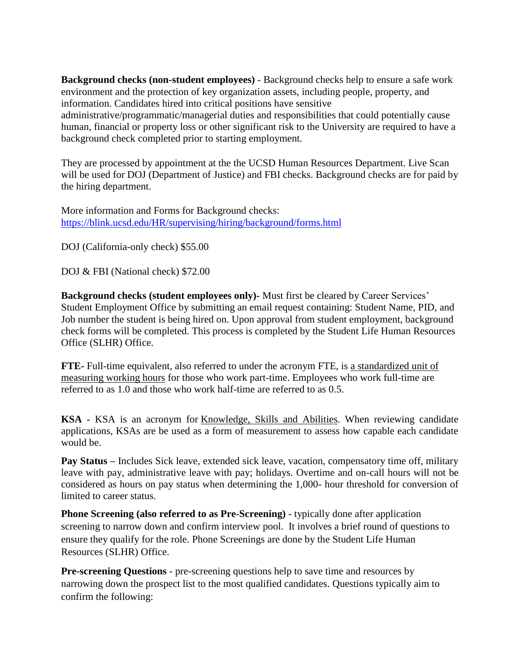**Background checks (non-student employees)** - Background checks help to ensure a safe work environment and the protection of key organization assets, including people, property, and information. Candidates hired into critical positions have sensitive administrative/programmatic/managerial duties and responsibilities that could potentially cause human, financial or property loss or other significant risk to the University are required to have a background check completed prior to starting employment.

They are processed by appointment at the the UCSD Human Resources Department. Live Scan will be used for DOJ (Department of Justice) and FBI checks. Background checks are for paid by the hiring department.

More information and Forms for Background checks: <https://blink.ucsd.edu/HR/supervising/hiring/background/forms.html>

DOJ (California-only check) \$55.00

DOJ & FBI (National check) \$72.00

**Background checks (student employees only)-** Must first be cleared by Career Services' Student Employment Office by submitting an email request containing: Student Name, PID, and Job number the student is being hired on. Upon approval from student employment, background check forms will be completed. This process is completed by the Student Life Human Resources Office (SLHR) Office.

**FTE-** Full-time equivalent, also referred to under the acronym FTE, is [a standardized unit of](https://www.hrzone.com/hr-glossary/what-is-full-time-equivalent-fte)  [measuring working hours](https://www.hrzone.com/hr-glossary/what-is-full-time-equivalent-fte) for those who work part-time. Employees who work full-time are referred to as 1.0 and those who work half-time are referred to as 0.5.

**KSA -** KSA is an acronym for [Knowledge, Skills and Abilities.](https://www.thebalance.com/understanding-knowledge-skills-and-abilities-ksa-2275329) When reviewing candidate applications, KSAs are be used as a form of measurement to assess how capable each candidate would be.

**Pay Status –** Includes Sick leave, extended sick leave, vacation, compensatory time off, military leave with pay, administrative leave with pay; holidays. Overtime and on-call hours will not be considered as hours on pay status when determining the 1,000- hour threshold for conversion of limited to career status.

**Phone Screening (also referred to as Pre-Screening)** - typically done after application screening to narrow down and confirm interview pool. It involves a brief round of questions to ensure they qualify for the role. Phone Screenings are done by the Student Life Human Resources (SLHR) Office.

**Pre-screening Questions** - pre-screening questions help to save time and resources by narrowing down the prospect list to the most qualified candidates. Questions typically aim to confirm the following: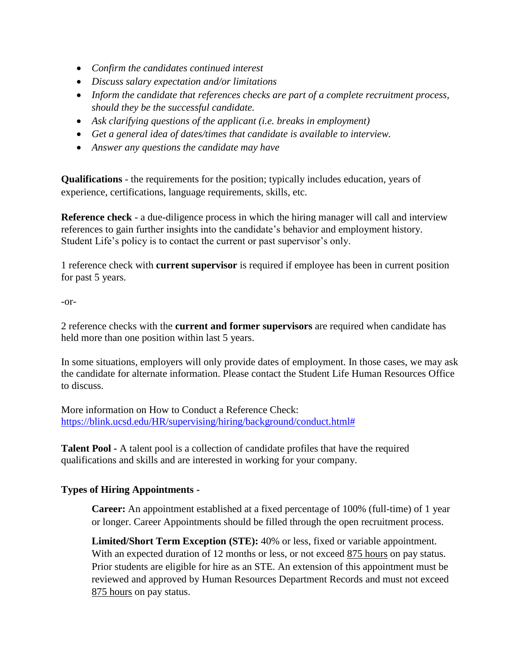- *Confirm the candidates continued interest*
- *Discuss salary expectation and/or limitations*
- *Inform the candidate that references checks are part of a complete recruitment process, should they be the successful candidate.*
- *Ask clarifying questions of the applicant (i.e. breaks in employment)*
- *Get a general idea of dates/times that candidate is available to interview.*
- *Answer any questions the candidate may have*

**Qualifications** - the requirements for the position; typically includes education, years of experience, certifications, language requirements, skills, etc.

**Reference check** - a due-diligence process in which the hiring manager will call and interview references to gain further insights into the candidate's behavior and employment history. Student Life's policy is to contact the current or past supervisor's only.

1 reference check with **current supervisor** is required if employee has been in current position for past 5 years.

## -or-

2 reference checks with the **current and former supervisors** are required when candidate has held more than one position within last 5 years.

In some situations, employers will only provide dates of employment. In those cases, we may ask the candidate for alternate information. Please contact the Student Life Human Resources Office to discuss.

More information on How to Conduct a Reference Check: [https://blink.ucsd.edu/HR/supervising/hiring/background/conduct.html#](https://blink.ucsd.edu/HR/supervising/hiring/background/conduct.html)

**Talent Pool -** A talent pool is a collection of candidate profiles that have the required qualifications and skills and are interested in working for your company.

## **Types of Hiring Appointments -**

**Career:** An appointment established at a fixed percentage of 100% (full-time) of 1 year or longer. Career Appointments should be filled through the open recruitment process.

**Limited/Short Term Exception (STE):** 40% or less, fixed or variable appointment. With an expected duration of 12 months or less, or not exceed  $875$  hours on pay status. Prior students are eligible for hire as an STE. An extension of this appointment must be reviewed and approved by Human Resources Department Records and must not exceed 875 hours on pay status.